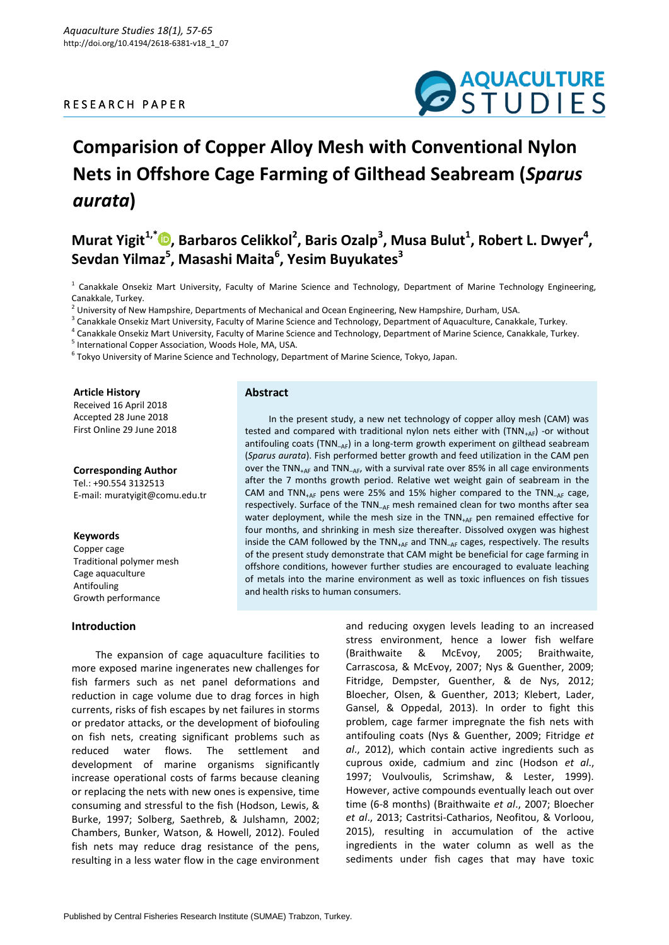### R E S E A R C H P A P E R



# **Comparision of Copper Alloy Mesh with Conventional Nylon Nets in Offshore Cage Farming of Gilthead Seabream (***Sparus aurata***)**

## $M$ urat Yigit<sup>1[,](https://orcid.org/0000-0001-8086-9125)\*</sup><sup>®</sup>, Barbaros Celikkol<sup>2</sup>, Baris Ozalp<sup>3</sup>, Musa Bulut<sup>1</sup>, Robert L. Dwyer<sup>4</sup>, **Sevdan Yilmaz 5 , Masashi Maita<sup>6</sup> , Yesim Buyukates<sup>3</sup>**

<sup>1</sup> Canakkale Onsekiz Mart University, Faculty of Marine Science and Technology, Department of Marine Technology Engineering, Canakkale, Turkey.

 $<sup>2</sup>$  University of New Hampshire, Departments of Mechanical and Ocean Engineering, New Hampshire, Durham, USA.</sup>

<sup>3</sup> Canakkale Onsekiz Mart University, Faculty of Marine Science and Technology, Department of Aquaculture, Canakkale, Turkey.

<sup>4</sup> Canakkale Onsekiz Mart University, Faculty of Marine Science and Technology, Department of Marine Science, Canakkale, Turkey.

<sup>5</sup> International Copper Association, Woods Hole, MA, USA.

 $^6$  Tokyo University of Marine Science and Technology, Department of Marine Science, Tokyo, Japan.

#### **Article History**

Received 16 April 2018 Accepted 28 June 2018 First Online 29 June 2018

**Corresponding Author** Tel.: +90.554 3132513 E-mail: muratyigit@comu.edu.tr

#### **Keywords**

Copper cage Traditional polymer mesh Cage aquaculture Antifouling Growth performance

#### **Introduction**

**Abstract**

In the present study, a new net technology of copper alloy mesh (CAM) was tested and compared with traditional nylon nets either with  $(TNN_{+AF})$  -or without antifouling coats (TNN<sub>-AF</sub>) in a long-term growth experiment on gilthead seabream (*Sparus aurata*). Fish performed better growth and feed utilization in the CAM pen over the TNN $_{+AF}$  and TNN $_{-AF}$ , with a survival rate over 85% in all cage environments after the 7 months growth period. Relative wet weight gain of seabream in the CAM and TNN<sub>+AF</sub> pens were 25% and 15% higher compared to the TNN<sub>-AF</sub> cage, respectively. Surface of the  $TNN_{AF}$  mesh remained clean for two months after sea water deployment, while the mesh size in the TNN<sub>+AF</sub> pen remained effective for four months, and shrinking in mesh size thereafter. Dissolved oxygen was highest inside the CAM followed by the  $TNN_{+AF}$  and  $TNN_{-AF}$  cages, respectively. The results of the present study demonstrate that CAM might be beneficial for cage farming in offshore conditions, however further studies are encouraged to evaluate leaching of metals into the marine environment as well as toxic influences on fish tissues and health risks to human consumers.

The expansion of cage aquaculture facilities to more exposed marine ingenerates new challenges for fish farmers such as net panel deformations and reduction in cage volume due to drag forces in high currents, risks of fish escapes by net failures in storms or predator attacks, or the development of biofouling on fish nets, creating significant problems such as reduced water flows. The settlement and development of marine organisms significantly increase operational costs of farms because cleaning or replacing the nets with new ones is expensive, time consuming and stressful to the fish (Hodson, Lewis, & Burke, 1997; Solberg, Saethreb, & Julshamn, 2002; Chambers, Bunker, Watson, & Howell, 2012). Fouled fish nets may reduce drag resistance of the pens, resulting in a less water flow in the cage environment

and reducing oxygen levels leading to an increased stress environment, hence a lower fish welfare (Braithwaite & McEvoy, 2005; Braithwaite, Carrascosa, & McEvoy, 2007; Nys & Guenther, 2009; Fitridge, Dempster, Guenther, & de Nys, 2012; Bloecher, Olsen, & Guenther, 2013; Klebert, Lader, Gansel, & Oppedal, 2013). In order to fight this problem, cage farmer impregnate the fish nets with antifouling coats (Nys & Guenther, 2009; Fitridge *et al*., 2012), which contain active ingredients such as cuprous oxide, cadmium and zinc (Hodson *et al*., 1997; Voulvoulis, Scrimshaw, & Lester, 1999). However, active compounds eventually leach out over time (6-8 months) (Braithwaite *et al*., 2007; Bloecher *et al*., 2013; Castritsi-Catharios, Neofitou, & Vorloou, 2015), resulting in accumulation of the active ingredients in the water column as well as the sediments under fish cages that may have toxic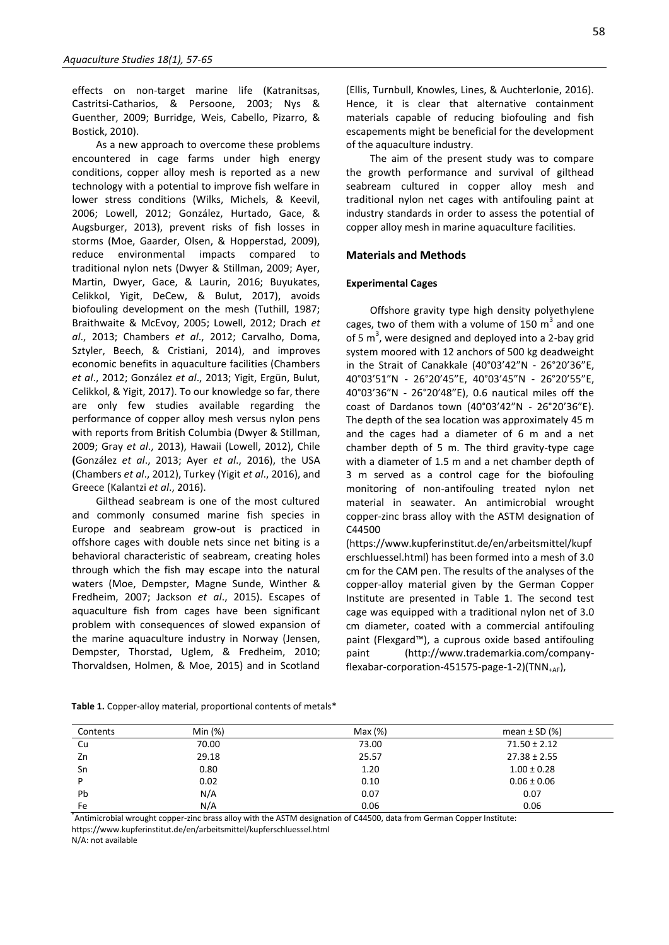effects on non-target marine life (Katranitsas, Castritsi-Catharios, & Persoone, 2003; Nys & Guenther, 2009; Burridge, Weis, Cabello, Pizarro, & Bostick, 2010).

As a new approach to overcome these problems encountered in cage farms under high energy conditions, copper alloy mesh is reported as a new technology with a potential to improve fish welfare in lower stress conditions (Wilks, Michels, & Keevil, 2006; Lowell, 2012; González, Hurtado, Gace, & Augsburger, 2013), prevent risks of fish losses in storms (Moe, Gaarder, Olsen, & Hopperstad, 2009), reduce environmental impacts compared to traditional nylon nets (Dwyer & Stillman, 2009; Ayer, Martin, Dwyer, Gace, & Laurin, 2016; Buyukates, Celikkol, Yigit, DeCew, & Bulut, 2017), avoids biofouling development on the mesh (Tuthill, 1987; Braithwaite & McEvoy, 2005; Lowell, 2012; Drach *et al*., 2013; Chambers *et al*., 2012; Carvalho, Doma, Sztyler, Beech, & Cristiani, 2014), and improves economic benefits in aquaculture facilities (Chambers *et al*., 2012; González *et al*., 2013; Yigit, Ergün, Bulut, Celikkol, & Yigit, 2017). To our knowledge so far, there are only few studies available regarding the performance of copper alloy mesh versus nylon pens with reports from British Columbia (Dwyer & Stillman, 2009; Gray *et al*., 2013), Hawaii (Lowell, 2012), Chile **(**González *et al*., 2013; Ayer *et al*., 2016), the USA (Chambers *et al*., 2012), Turkey (Yigit *et al*., 2016), and Greece (Kalantzi *et al*., 2016).

Gilthead seabream is one of the most cultured and commonly consumed marine fish species in Europe and seabream grow-out is practiced in offshore cages with double nets since net biting is a behavioral characteristic of seabream, creating holes through which the fish may escape into the natural waters (Moe, Dempster, Magne Sunde, Winther & Fredheim, 2007; Jackson *et al*., 2015). Escapes of aquaculture fish from cages have been significant problem with consequences of slowed expansion of the marine aquaculture industry in Norway (Jensen, Dempster, Thorstad, Uglem, & Fredheim, 2010; Thorvaldsen, Holmen, & Moe, 2015) and in Scotland

(Ellis, Turnbull, Knowles, Lines, & Auchterlonie, 2016). Hence, it is clear that alternative containment materials capable of reducing biofouling and fish escapements might be beneficial for the development of the aquaculture industry.

The aim of the present study was to compare the growth performance and survival of gilthead seabream cultured in copper alloy mesh and traditional nylon net cages with antifouling paint at industry standards in order to assess the potential of copper alloy mesh in marine aquaculture facilities.

#### **Materials and Methods**

#### **Experimental Cages**

Offshore gravity type high density polyethylene cages, two of them with a volume of 150  $m^3$  and one of 5  $m<sup>3</sup>$ , were designed and deployed into a 2-bay grid system moored with 12 anchors of 500 kg deadweight in the Strait of Canakkale (40°03'42"N - 26°20'36"E, 40°03'51"N - 26°20'45"E, 40°03'45"N - 26°20'55"E, 40°03'36"N - 26°20'48"E), 0.6 nautical miles off the coast of Dardanos town (40°03'42"N - 26°20'36"E). The depth of the sea location was approximately 45 m and the cages had a diameter of 6 m and a net chamber depth of 5 m. The third gravity-type cage with a diameter of 1.5 m and a net chamber depth of 3 m served as a control cage for the biofouling monitoring of non-antifouling treated nylon net material in seawater. An antimicrobial wrought copper-zinc brass alloy with the ASTM designation of C44500

(https://www.kupferinstitut.de/en/arbeitsmittel/kupf erschluessel.html) has been formed into a mesh of 3.0 cm for the CAM pen. The results of the analyses of the copper-alloy material given by the German Copper Institute are presented in Table 1. The second test cage was equipped with a traditional nylon net of 3.0 cm diameter, coated with a commercial antifouling paint (Flexgard™), a cuprous oxide based antifouling paint (http://www.trademarkia.com/companyflexabar-corporation-451575-page-1-2)(TNN+AF),

| Contents | Min $(%)$ | Max(%) | mean $\pm$ SD (%) |
|----------|-----------|--------|-------------------|
| Cu       | 70.00     | 73.00  | $71.50 \pm 2.12$  |
| Zn       | 29.18     | 25.57  | $27.38 \pm 2.55$  |
| Sn       | 0.80      | 1.20   | $1.00 \pm 0.28$   |
| D        | 0.02      | 0.10   | $0.06 \pm 0.06$   |
| Pb       | N/A       | 0.07   | 0.07              |
| Fe       | N/A       | 0.06   | 0.06              |

**Table 1.** Copper-alloy material, proportional contents of metals\*

\* Antimicrobial wrought copper-zinc brass alloy with the ASTM designation of C44500, data from German Copper Institute: https://www.kupferinstitut.de/en/arbeitsmittel/kupferschluessel.html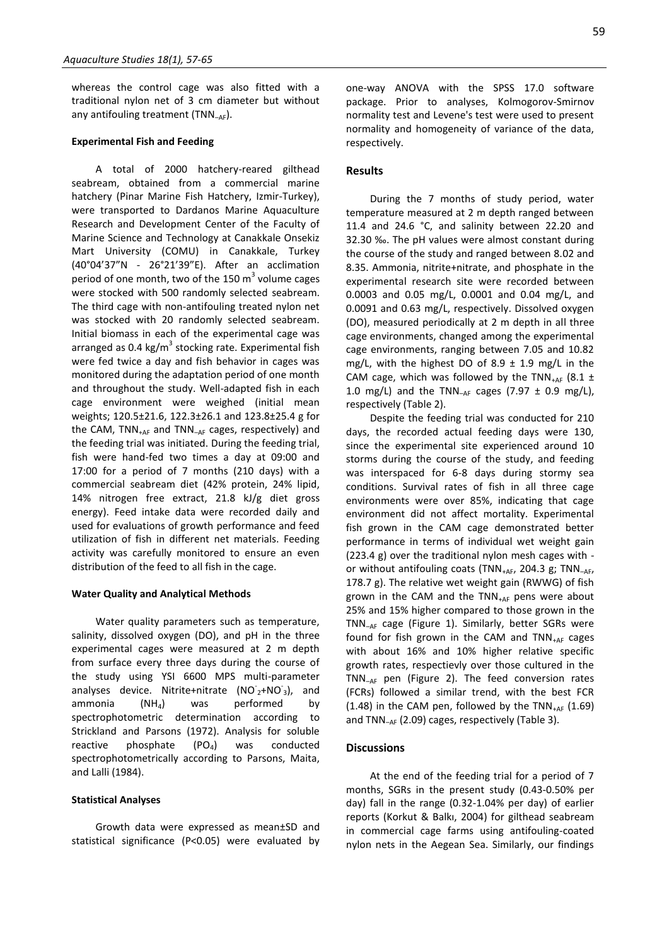whereas the control cage was also fitted with a traditional nylon net of 3 cm diameter but without any antifouling treatment (TNN<sub>-AF</sub>).

#### **Experimental Fish and Feeding**

A total of 2000 hatchery-reared gilthead seabream, obtained from a commercial marine hatchery (Pinar Marine Fish Hatchery, Izmir-Turkey), were transported to Dardanos Marine Aquaculture Research and Development Center of the Faculty of Marine Science and Technology at Canakkale Onsekiz Mart University (COMU) in Canakkale, Turkey (40°04'37"N - 26°21'39"E). After an acclimation period of one month, two of the 150  $m^3$  volume cages were stocked with 500 randomly selected seabream. The third cage with non-antifouling treated nylon net was stocked with 20 randomly selected seabream. Initial biomass in each of the experimental cage was arranged as 0.4 kg/m<sup>3</sup> stocking rate. Experimental fish were fed twice a day and fish behavior in cages was monitored during the adaptation period of one month and throughout the study. Well-adapted fish in each cage environment were weighed (initial mean weights; 120.5±21.6, 122.3±26.1 and 123.8±25.4 g for the CAM,  $TNN_{+AF}$  and  $TNN_{-AF}$  cages, respectively) and the feeding trial was initiated. During the feeding trial, fish were hand-fed two times a day at 09:00 and 17:00 for a period of 7 months (210 days) with a commercial seabream diet (42% protein, 24% lipid, 14% nitrogen free extract, 21.8 kJ/g diet gross energy). Feed intake data were recorded daily and used for evaluations of growth performance and feed utilization of fish in different net materials. Feeding activity was carefully monitored to ensure an even distribution of the feed to all fish in the cage.

#### **Water Quality and Analytical Methods**

Water quality parameters such as temperature, salinity, dissolved oxygen (DO), and pH in the three experimental cages were measured at 2 m depth from surface every three days during the course of the study using YSI 6600 MPS multi-parameter analyses device. Nitrite+nitrate  $(NO<sub>2</sub><sup>+</sup>NO<sub>3</sub>)$ , and ammonia  $(NH_4)$  was performed by spectrophotometric determination according to Strickland and Parsons (1972). Analysis for soluble reactive phosphate  $(PO<sub>4</sub>)$  was conducted spectrophotometrically according to Parsons, Maita, and Lalli (1984).

#### **Statistical Analyses**

Growth data were expressed as mean±SD and statistical significance (P<0.05) were evaluated by one-way ANOVA with the SPSS 17.0 software package. Prior to analyses, Kolmogorov-Smirnov normality test and Levene's test were used to present normality and homogeneity of variance of the data, respectively.

#### **Results**

During the 7 months of study period, water temperature measured at 2 m depth ranged between 11.4 and 24.6 °C, and salinity between 22.20 and 32.30 ‰. The pH values were almost constant during the course of the study and ranged between 8.02 and 8.35. Ammonia, nitrite+nitrate, and phosphate in the experimental research site were recorded between 0.0003 and 0.05 mg/L, 0.0001 and 0.04 mg/L, and 0.0091 and 0.63 mg/L, respectively. Dissolved oxygen (DO), measured periodically at 2 m depth in all three cage environments, changed among the experimental cage environments, ranging between 7.05 and 10.82 mg/L, with the highest DO of 8.9  $\pm$  1.9 mg/L in the CAM cage, which was followed by the TNN<sub>+AF</sub> (8.1  $\pm$ 1.0 mg/L) and the TNN<sub>-AF</sub> cages (7.97  $\pm$  0.9 mg/L), respectively (Table 2).

Despite the feeding trial was conducted for 210 days, the recorded actual feeding days were 130, since the experimental site experienced around 10 storms during the course of the study, and feeding was interspaced for 6-8 days during stormy sea conditions. Survival rates of fish in all three cage environments were over 85%, indicating that cage environment did not affect mortality. Experimental fish grown in the CAM cage demonstrated better performance in terms of individual wet weight gain (223.4 g) over the traditional nylon mesh cages with or without antifouling coats (TNN<sub>+AF</sub>, 204.3 g; TNN<sub>-AF</sub>, 178.7 g). The relative wet weight gain (RWWG) of fish grown in the CAM and the  $TNN_{+AF}$  pens were about 25% and 15% higher compared to those grown in the TNN–AF cage (Figure 1). Similarly, better SGRs were found for fish grown in the CAM and  $TNN_{+AF}$  cages with about 16% and 10% higher relative specific growth rates, respectievly over those cultured in the TNN–AF pen (Figure 2). The feed conversion rates (FCRs) followed a similar trend, with the best FCR (1.48) in the CAM pen, followed by the TNN $_{+AF}$  (1.69) and TNN–AF (2.09) cages, respectively (Table 3).

#### **Discussions**

At the end of the feeding trial for a period of 7 months, SGRs in the present study (0.43-0.50% per day) fall in the range (0.32-1.04% per day) of earlier reports (Korkut & Balkı, 2004) for gilthead seabream in commercial cage farms using antifouling-coated nylon nets in the Aegean Sea. Similarly, our findings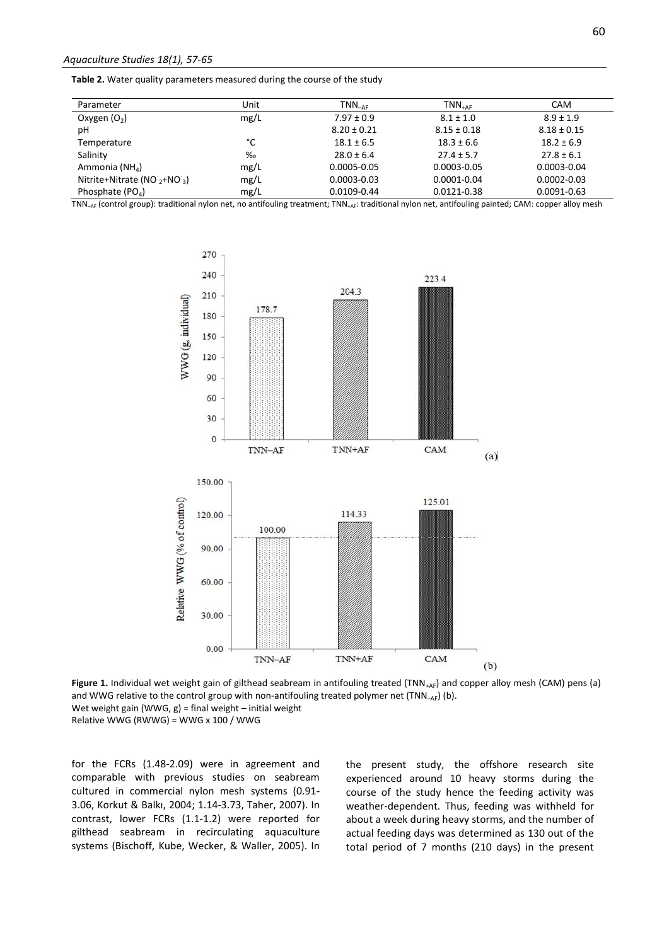**Table 2.** Water quality parameters measured during the course of the study

| Parameter                     | Unit | $TNN_{\neg\mathtt{AF}}$ | $TNN_{+AF}$     | <b>CAM</b>      |
|-------------------------------|------|-------------------------|-----------------|-----------------|
| Oxygen $(O_2)$                | mg/L | $7.97 \pm 0.9$          | $8.1 \pm 1.0$   | $8.9 \pm 1.9$   |
| рH                            |      | $8.20 \pm 0.21$         | $8.15 \pm 0.18$ | $8.18 \pm 0.15$ |
| Temperature                   | °C   | $18.1 \pm 6.5$          | $18.3 \pm 6.6$  | $18.2 \pm 6.9$  |
| Salinity                      | %    | $28.0 \pm 6.4$          | $27.4 \pm 5.7$  | $27.8 \pm 6.1$  |
| Ammonia (NH <sub>4</sub> )    | mg/L | $0.0005 - 0.05$         | $0.0003 - 0.05$ | $0.0003 - 0.04$ |
| Nitrite+Nitrate $(NO2 + NO3)$ | mg/L | $0.0003 - 0.03$         | $0.0001 - 0.04$ | $0.0002 - 0.03$ |
| Phosphate $(POA)$             | mg/L | 0.0109-0.44             | 0.0121-0.38     | 0.0091-0.63     |

TNN<sub>-AF</sub> (control group): traditional nylon net, no antifouling treatment; TNN<sub>+AF</sub>: traditional nylon net, antifouling painted; CAM: copper alloy mesh



Figure 1. Individual wet weight gain of gilthead seabream in antifouling treated (TNN<sub>+AF</sub>) and copper alloy mesh (CAM) pens (a) and WWG relative to the control group with non-antifouling treated polymer net  $(TNN_{-AF})$  (b). Wet weight gain (WWG,  $g$ ) = final weight – initial weight Relative WWG (RWWG) = WWG x 100 / WWG

for the FCRs (1.48-2.09) were in agreement and comparable with previous studies on seabream cultured in commercial nylon mesh systems (0.91- 3.06, Korkut & Balkı, 2004; 1.14-3.73, Taher, 2007). In contrast, lower FCRs (1.1-1.2) were reported for gilthead seabream in recirculating aquaculture systems (Bischoff, Kube, Wecker, & Waller, 2005). In

the present study, the offshore research site experienced around 10 heavy storms during the course of the study hence the feeding activity was weather-dependent. Thus, feeding was withheld for about a week during heavy storms, and the number of actual feeding days was determined as 130 out of the total period of 7 months (210 days) in the present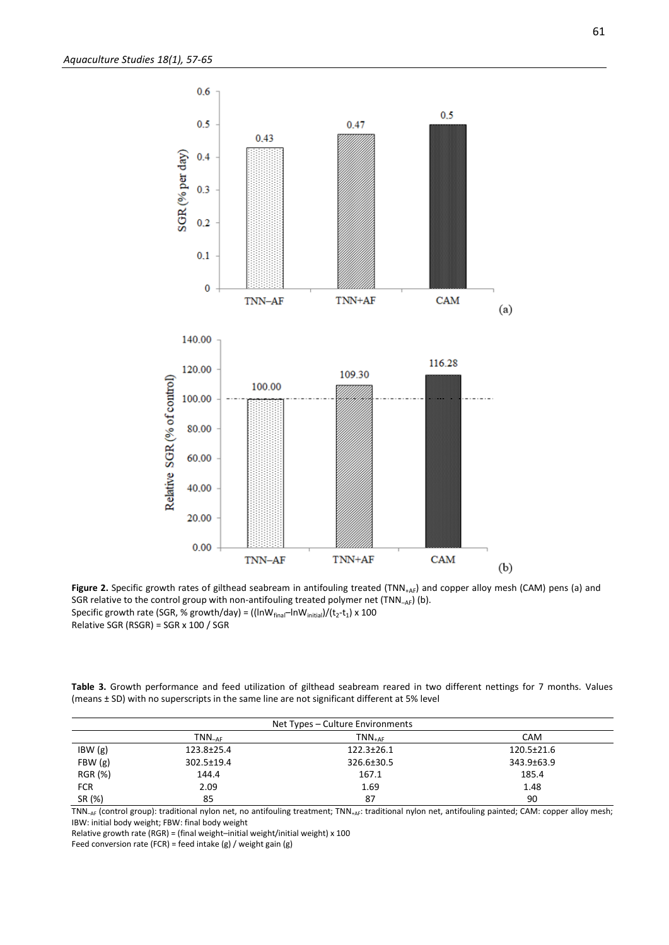

Figure 2. Specific growth rates of gilthead seabream in antifouling treated (TNN<sub>+AF</sub>) and copper alloy mesh (CAM) pens (a) and SGR relative to the control group with non-antifouling treated polymer net  $(TNN_{AF})$  (b). <code>Specific</code> growth rate (SGR, % growth/day) = ((lnW $_{\sf final}$ –InW $_{\sf initial}$ )/(t $_{\sf 2}$ -t $_{\sf 1}$ ) x 100 Relative SGR (RSGR) = SGR x 100 / SGR

**Table 3.** Growth performance and feed utilization of gilthead seabream reared in two different nettings for 7 months. Values (means ± SD) with no superscripts in the same line are not significant different at 5% level

| Net Types – Culture Environments |                  |                  |                  |  |  |
|----------------------------------|------------------|------------------|------------------|--|--|
|                                  | $TNN_{-AF}$      | $TNN_{+AF}$      | <b>CAM</b>       |  |  |
| IBW(g)                           | $123.8 \pm 25.4$ | $122.3 \pm 26.1$ | $120.5 \pm 21.6$ |  |  |
| FBW(g)                           | $302.5 \pm 19.4$ | 326.6±30.5       | 343.9±63.9       |  |  |
| RGR (%)                          | 144.4            | 167.1            | 185.4            |  |  |
| <b>FCR</b>                       | 2.09             | 1.69             | 1.48             |  |  |
| SR (%)                           | 85               | 87               | 90               |  |  |

TNN<sub>-AF</sub> (control group): traditional nylon net, no antifouling treatment; TNN<sub>+AF</sub>: traditional nylon net, antifouling painted; CAM: copper alloy mesh; IBW: initial body weight; FBW: final body weight

Relative growth rate (RGR) = (final weight–initial weight/initial weight) x 100

Feed conversion rate (FCR) = feed intake (g) / weight gain (g)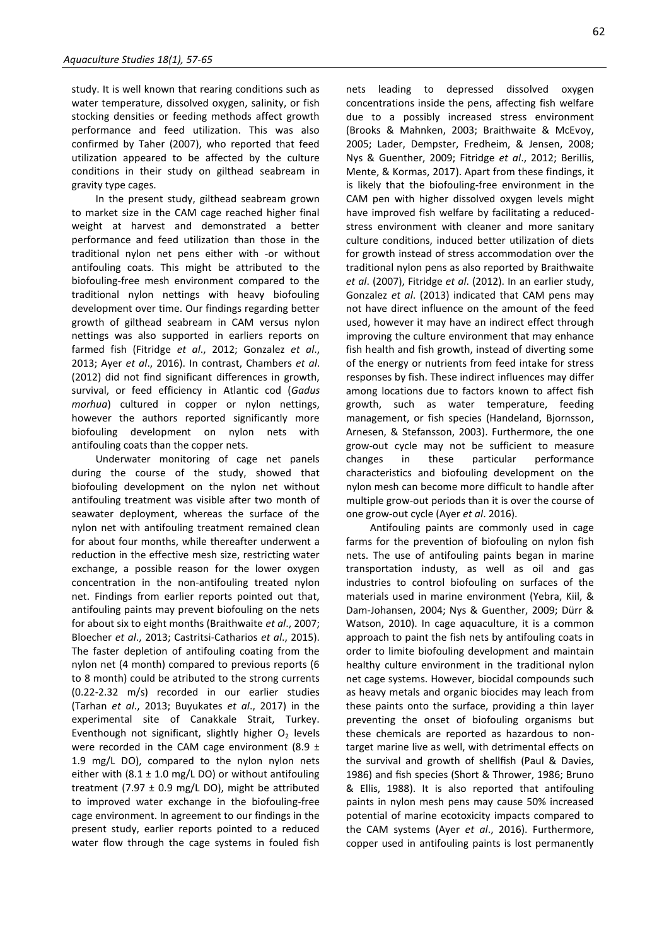study. It is well known that rearing conditions such as water temperature, dissolved oxygen, salinity, or fish stocking densities or feeding methods affect growth performance and feed utilization. This was also confirmed by Taher (2007), who reported that feed utilization appeared to be affected by the culture conditions in their study on gilthead seabream in gravity type cages.

In the present study, gilthead seabream grown to market size in the CAM cage reached higher final weight at harvest and demonstrated a better performance and feed utilization than those in the traditional nylon net pens either with -or without antifouling coats. This might be attributed to the biofouling-free mesh environment compared to the traditional nylon nettings with heavy biofouling development over time. Our findings regarding better growth of gilthead seabream in CAM versus nylon nettings was also supported in earliers reports on farmed fish (Fitridge *et al*., 2012; Gonzalez *et al*., 2013; Ayer *et al*., 2016). In contrast, Chambers *et al*. (2012) did not find significant differences in growth, survival, or feed efficiency in Atlantic cod (*Gadus morhua*) cultured in copper or nylon nettings, however the authors reported significantly more biofouling development on nylon nets with antifouling coats than the copper nets.

Underwater monitoring of cage net panels during the course of the study, showed that biofouling development on the nylon net without antifouling treatment was visible after two month of seawater deployment, whereas the surface of the nylon net with antifouling treatment remained clean for about four months, while thereafter underwent a reduction in the effective mesh size, restricting water exchange, a possible reason for the lower oxygen concentration in the non-antifouling treated nylon net. Findings from earlier reports pointed out that, antifouling paints may prevent biofouling on the nets for about six to eight months (Braithwaite *et al*., 2007; Bloecher *et al*., 2013; Castritsi-Catharios *et al*., 2015). The faster depletion of antifouling coating from the nylon net (4 month) compared to previous reports (6 to 8 month) could be atributed to the strong currents (0.22-2.32 m/s) recorded in our earlier studies (Tarhan *et al*., 2013; Buyukates *et al*., 2017) in the experimental site of Canakkale Strait, Turkey. Eventhough not significant, slightly higher  $O<sub>2</sub>$  levels were recorded in the CAM cage environment (8.9  $\pm$ 1.9 mg/L DO), compared to the nylon nylon nets either with (8.1  $\pm$  1.0 mg/L DO) or without antifouling treatment (7.97  $\pm$  0.9 mg/L DO), might be attributed to improved water exchange in the biofouling-free cage environment. In agreement to our findings in the present study, earlier reports pointed to a reduced water flow through the cage systems in fouled fish nets leading to depressed dissolved oxygen concentrations inside the pens, affecting fish welfare due to a possibly increased stress environment (Brooks & Mahnken, 2003; Braithwaite & McEvoy, 2005; Lader, Dempster, Fredheim, & Jensen, 2008; Nys & Guenther, 2009; Fitridge *et al*., 2012; Berillis, Mente, & Kormas, 2017). Apart from these findings, it is likely that the biofouling-free environment in the CAM pen with higher dissolved oxygen levels might have improved fish welfare by facilitating a reducedstress environment with cleaner and more sanitary culture conditions, induced better utilization of diets for growth instead of stress accommodation over the traditional nylon pens as also reported by Braithwaite *et al*. (2007), Fitridge *et al*. (2012). In an earlier study, Gonzalez *et al*. (2013) indicated that CAM pens may not have direct influence on the amount of the feed used, however it may have an indirect effect through improving the culture environment that may enhance fish health and fish growth, instead of diverting some of the energy or nutrients from feed intake for stress responses by fish. These indirect influences may differ among locations due to factors known to affect fish growth, such as water temperature, feeding management, or fish species (Handeland, Bjornsson, Arnesen, & Stefansson, 2003). Furthermore, the one grow-out cycle may not be sufficient to measure changes in these particular performance characteristics and biofouling development on the nylon mesh can become more difficult to handle after multiple grow-out periods than it is over the course of one grow-out cycle (Ayer *et al*. 2016).

Antifouling paints are commonly used in cage farms for the prevention of biofouling on nylon fish nets. The use of antifouling paints began in marine transportation industy, as well as oil and gas industries to control biofouling on surfaces of the materials used in marine environment (Yebra, Kiil, & Dam-Johansen, 2004; Nys & Guenther, 2009; Dürr & Watson, 2010). In cage aquaculture, it is a common approach to paint the fish nets by antifouling coats in order to limite biofouling development and maintain healthy culture environment in the traditional nylon net cage systems. However, biocidal compounds such as heavy metals and organic biocides may leach from these paints onto the surface, providing a thin layer preventing the onset of biofouling organisms but these chemicals are reported as hazardous to nontarget marine live as well, with detrimental effects on the survival and growth of shellfish (Paul & Davies, 1986) and fish species (Short & Thrower, 1986; Bruno & Ellis, 1988). It is also reported that antifouling paints in nylon mesh pens may cause 50% increased potential of marine ecotoxicity impacts compared to the CAM systems (Ayer *et al*., 2016). Furthermore, copper used in antifouling paints is lost permanently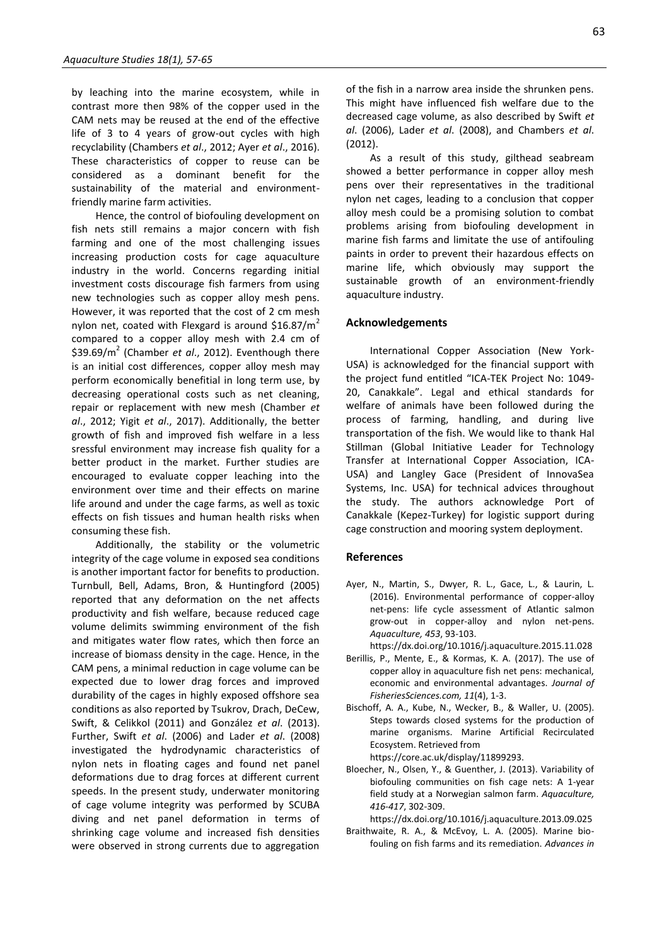by leaching into the marine ecosystem, while in contrast more then 98% of the copper used in the CAM nets may be reused at the end of the effective life of 3 to 4 years of grow-out cycles with high recyclability (Chambers *et al*., 2012; Ayer *et al*., 2016). These characteristics of copper to reuse can be considered as a dominant benefit for the sustainability of the material and environmentfriendly marine farm activities.

Hence, the control of biofouling development on fish nets still remains a major concern with fish farming and one of the most challenging issues increasing production costs for cage aquaculture industry in the world. Concerns regarding initial investment costs discourage fish farmers from using new technologies such as copper alloy mesh pens. However, it was reported that the cost of 2 cm mesh nylon net, coated with Flexgard is around \$16.87/ $m<sup>2</sup>$ compared to a copper alloy mesh with 2.4 cm of \$39.69/m<sup>2</sup> (Chamber *et al*., 2012). Eventhough there is an initial cost differences, copper alloy mesh may perform economically benefitial in long term use, by decreasing operational costs such as net cleaning, repair or replacement with new mesh (Chamber *et al*., 2012; Yigit *et al*., 2017). Additionally, the better growth of fish and improved fish welfare in a less sressful environment may increase fish quality for a better product in the market. Further studies are encouraged to evaluate copper leaching into the environment over time and their effects on marine life around and under the cage farms, as well as toxic effects on fish tissues and human health risks when consuming these fish.

Additionally, the stability or the volumetric integrity of the cage volume in exposed sea conditions is another important factor for benefits to production. Turnbull, Bell, Adams, Bron, & Huntingford (2005) reported that any deformation on the net affects productivity and fish welfare, because reduced cage volume delimits swimming environment of the fish and mitigates water flow rates, which then force an increase of biomass density in the cage. Hence, in the CAM pens, a minimal reduction in cage volume can be expected due to lower drag forces and improved durability of the cages in highly exposed offshore sea conditions as also reported by Tsukrov, Drach, DeCew, Swift, & Celikkol (2011) and González *et al*. (2013). Further, Swift *et al*. (2006) and Lader *et al*. (2008) investigated the hydrodynamic characteristics of nylon nets in floating cages and found net panel deformations due to drag forces at different current speeds. In the present study, underwater monitoring of cage volume integrity was performed by SCUBA diving and net panel deformation in terms of shrinking cage volume and increased fish densities were observed in strong currents due to aggregation

of the fish in a narrow area inside the shrunken pens. This might have influenced fish welfare due to the decreased cage volume, as also described by Swift *et al*. (2006), Lader *et al*. (2008), and Chambers *et al*. (2012).

As a result of this study, gilthead seabream showed a better performance in copper alloy mesh pens over their representatives in the traditional nylon net cages, leading to a conclusion that copper alloy mesh could be a promising solution to combat problems arising from biofouling development in marine fish farms and limitate the use of antifouling paints in order to prevent their hazardous effects on marine life, which obviously may support the sustainable growth of an environment-friendly aquaculture industry.

#### **Acknowledgements**

International Copper Association (New York-USA) is acknowledged for the financial support with the project fund entitled "ICA-TEK Project No: 1049- 20, Canakkale". Legal and ethical standards for welfare of animals have been followed during the process of farming, handling, and during live transportation of the fish. We would like to thank Hal Stillman (Global Initiative Leader for Technology Transfer at International Copper Association, ICA-USA) and Langley Gace (President of InnovaSea Systems, Inc. USA) for technical advices throughout the study. The authors acknowledge Port of Canakkale (Kepez-Turkey) for logistic support during cage construction and mooring system deployment.

#### **References**

- Ayer, N., Martin, S., Dwyer, R. L., Gace, L., & Laurin, L. (2016). Environmental performance of copper-alloy net-pens: life cycle assessment of Atlantic salmon grow-out in copper-alloy and nylon net-pens. *Aquaculture, 453*, 93-103.
- [https://dx.doi.org/10.1016/j.aquaculture.2015.11.028](https://doi.org/10.1016/j.aquaculture.2015.11.028) Berillis, P., Mente, E., & Kormas, K. A. (2017). The use of copper alloy in aquaculture fish net pens: mechanical,
- economic and environmental advantages. *Journal of FisheriesSciences.com, 11*(4), 1-3. Bischoff, A. A., Kube, N., Wecker, B., & Waller, U. (2005).
- Steps towards closed systems for the production of marine organisms. Marine Artificial Recirculated Ecosystem. Retrieved from https://core.ac.uk/display/11899293.
- Bloecher, N., Olsen, Y., & Guenther, J. (2013). Variability of biofouling communities on fish cage nets: A 1-year field study at a Norwegian salmon farm. *Aquaculture, 416-417*, 302-309.

[https://dx.doi.org/10.1016/j.aquaculture.2013.09.025](https://doi.org/10.1016/j.aquaculture.2013.09.025)

Braithwaite, R. A., & McEvoy, L. A. (2005). Marine biofouling on fish farms and its remediation. *Advances in*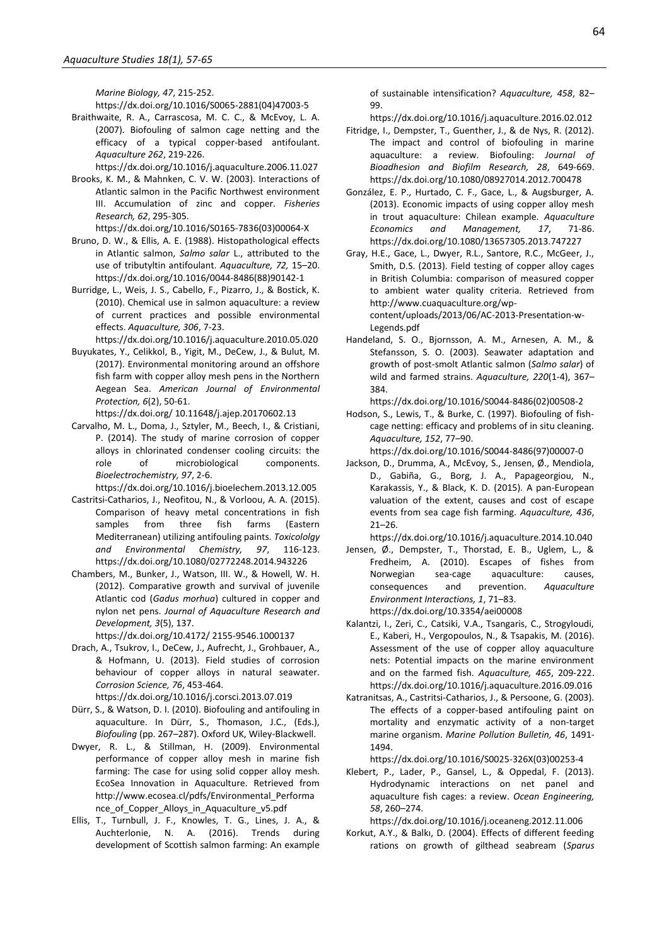*Marine Biology, 47*, 215-252.

[https://dx.doi.org/10.1016/S0065-2881\(04\)47003-5](https://doi.org/10.1016/S0065-2881(04)47003-5)

Braithwaite, R. A., Carrascosa, M. C. C., & McEvoy, L. A. (2007). Biofouling of salmon cage netting and the efficacy of a typical copper-based antifoulant. *Aquaculture 262*, 219-226.

[https://dx.doi.org/10.1016/j.aquaculture.2006.11.027](https://doi.org/10.1016/j.aquaculture.2006.11.027)

Brooks, K. M., & Mahnken, C. V. W. (2003). Interactions of Atlantic salmon in the Pacific Northwest environment III. Accumulation of zinc and copper. *Fisheries Research, 62*, 295-305.

[https://dx.doi.org/10.1016/S0165-7836\(03\)00064-X](https://doi.org/10.1016/S0165-7836(03)00064-X)

- Bruno, D. W., & Ellis, A. E. (1988). Histopathological effects in Atlantic salmon, *Salmo salar* L., attributed to the use of tributyltin antifoulant. *Aquaculture, 72,* 15–20. [https://dx.doi.org/10.1016/0044-8486\(88\)90142-1](https://doi.org/10.1016/0044-8486(88)90142-1)
- Burridge, L., Weis, J. S., Cabello, F., Pizarro, J., & Bostick, K. (2010). Chemical use in salmon aquaculture: a review of current practices and possible environmental effects. *Aquaculture, 306*, 7-23.

[https://dx.doi.org/10.1016/j.aquaculture.2010.05.020](https://doi.org/10.1016/j.aquaculture.2010.05.020)

Buyukates, Y., Celikkol, B., Yigit, M., DeCew, J., & Bulut, M. (2017). Environmental monitoring around an offshore fish farm with copper alloy mesh pens in the Northern Aegean Sea. *American Journal of Environmental Protection, 6*(2), 50-61.

https://dx.doi.org/ 10.11648/j.ajep.20170602.13

Carvalho, M. L., Doma, J., Sztyler, M., Beech, I., & Cristiani, P. (2014). The study of marine corrosion of copper alloys in chlorinated condenser cooling circuits: the role of microbiological components. *Bioelectrochemistry, 97*, 2-6.

[https://dx.doi.org/10.1016/j.bioelechem.2013.12.005](https://doi.org/10.1016/j.bioelechem.2013.12.005)

- Castritsi-Catharios, J., Neofitou, N., & Vorloou, A. A. (2015). Comparison of heavy metal concentrations in fish samples from three fish farms (Eastern Mediterranean) utilizing antifouling paints. *Toxicololgy and Environmental Chemistry, 97*, 116-123. [https://dx.doi.org/10.1080/02772248.2014.943226](https://doi.org/10.1080/02772248.2014.943226)
- Chambers, M., Bunker, J., Watson, III. W., & Howell, W. H. (2012). Comparative growth and survival of juvenile Atlantic cod (*Gadus morhua*) cultured in copper and nylon net pens. *Journal of Aquaculture Research and Development, 3*(5), 137.
	- https://dx.doi.org/10.4172/ 2155-9546.1000137
- Drach, A., Tsukrov, I., DeCew, J., Aufrecht, J., Grohbauer, A., & Hofmann, U. (2013). Field studies of corrosion behaviour of copper alloys in natural seawater. *Corrosion Science, 76*, 453-464. [https://dx.doi.org/10.1016/j.corsci.2013.07.019](https://doi.org/10.1016/j.corsci.2013.07.019)
- Dürr, S., & Watson, D. I. (2010). Biofouling and antifouling in aquaculture. In Dürr, S., Thomason, J.C., (Eds.), *Biofouling* (pp. 267–287). Oxford UK, Wiley-Blackwell.
- Dwyer, R. L., & Stillman, H. (2009). Environmental performance of copper alloy mesh in marine fish farming: The case for using solid copper alloy mesh. EcoSea Innovation in Aquaculture. Retrieved from http://www.ecosea.cl/pdfs/Environmental\_Performa nce of Copper Alloys in Aquaculture v5.pdf
- Ellis, T., Turnbull, J. F., Knowles, T. G., Lines, J. A., & Auchterlonie, N. A. (2016). Trends during development of Scottish salmon farming: An example

of sustainable intensification? *Aquaculture, 458*, 82– 99.

[https://dx.doi.org/10.1016/j.aquaculture.2016.02.012](https://doi.org/10.1016/j.aquaculture.2016.02.012)

- Fitridge, I., Dempster, T., Guenther, J., & de Nys, R. (2012). The impact and control of biofouling in marine aquaculture: a review. Biofouling: *Journal of Bioadhesion and Biofilm Research, 28*, 649-669. [https://dx.doi.org/10.1080/08927014.2012.700478](https://doi.org/10.1080/08927014.2012.700478)
- González, E. P., Hurtado, C. F., Gace, L., & Augsburger, A. (2013). Economic impacts of using copper alloy mesh in trout aquaculture: Chilean example. *Aquaculture Economics and Management, 17*, 71-86. [https://dx.doi.org/10.1080/13657305.2013.747227](https://doi.org/10.1080/13657305.2013.747227)
- Gray, H.E., Gace, L., Dwyer, R.L., Santore, R.C., McGeer, J., Smith, D.S. (2013). Field testing of copper alloy cages in British Columbia: comparison of measured copper to ambient water quality criteria. Retrieved from http://www.cuaquaculture.org/wpcontent/uploads/2013/06/AC-2013-Presentation-w-Legends.pdf
- Handeland, S. O., Bjornsson, A. M., Arnesen, A. M., & Stefansson, S. O. (2003). Seawater adaptation and growth of post-smolt Atlantic salmon (*Salmo salar*) of wild and farmed strains. *Aquaculture, 220*(1-4), 367– 384.

[https://dx.doi.org/10.1016/S0044-8486\(02\)00508-2](https://doi.org/10.1016/S0044-8486(02)00508-2)

- Hodson, S., Lewis, T., & Burke, C. (1997). Biofouling of fishcage netting: efficacy and problems of in situ cleaning. *Aquaculture, 152*, 77–90. [https://dx.doi.org/10.1016/S0044-8486\(97\)00007-0](https://doi.org/10.1016/S0044-8486(97)00007-0)
- Jackson, D., Drumma, A., McEvoy, S., Jensen, Ø., Mendiola, D., Gabiña, G., Borg, J. A., Papageorgiou, N., Karakassis, Y., & Black, K. D. (2015). A pan-European valuation of the extent, causes and cost of escape events from sea cage fish farming. *Aquaculture, 436*, 21–26.
	- [https://dx.doi.org/10.1016/j.aquaculture.2014.10.040](https://doi.org/10.1016/j.aquaculture.2014.10.040)
- Jensen, Ø., Dempster, T., Thorstad, E. B., Uglem, L., & Fredheim, A. (2010). Escapes of fishes from Norwegian sea-cage aquaculture: causes, consequences and prevention. *Aquaculture Environment Interactions, 1*, 71–83. https://dx.doi.org/10.3354/aei00008
- Kalantzi, I., Zeri, C., Catsiki, V.A., Tsangaris, C., Strogyloudi, E., Kaberi, H., Vergopoulos, N., & Tsapakis, M. (2016). Assessment of the use of copper alloy aquaculture nets: Potential impacts on the marine environment and on the farmed fish. *Aquaculture, 465*, 209-222. [https://dx.doi.org/10.1016/j.aquaculture.2016.09.016](https://doi.org/10.1016/j.aquaculture.2016.09.016)
- Katranitsas, A., Castritsi-Catharios, J., & Persoone, G. (2003). The effects of a copper-based antifouling paint on mortality and enzymatic activity of a non-target marine organism. *Marine Pollution Bulletin, 46*, 1491- 1494.

[https://dx.doi.org/10.1016/S0025-326X\(03\)00253-4](https://doi.org/10.1016/S0025-326X(03)00253-4)

Klebert, P., Lader, P., Gansel, L., & Oppedal, F. (2013). Hydrodynamic interactions on net panel and aquaculture fish cages: a review. *Ocean Engineering, 58*, 260–274.

[https://dx.doi.org/10.1016/j.oceaneng.2012.11.006](https://doi.org/10.1016/j.oceaneng.2012.11.006)

Korkut, A.Y., & Balkı, D. (2004). Effects of different feeding rations on growth of gilthead seabream (*Sparus*